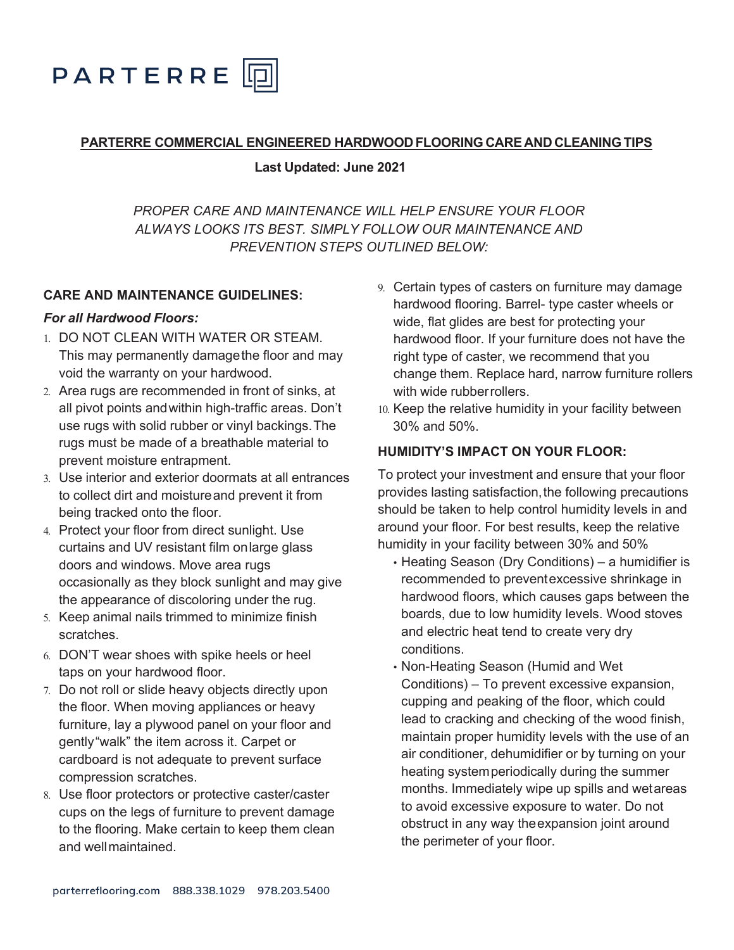

#### **PARTERRE COMMERCIAL ENGINEERED HARDWOOD FLOORING CARE AND CLEANING TIPS**

 **Last Updated: June 2021**

*PROPER CARE AND MAINTENANCE WILL HELP ENSURE YOUR FLOOR ALWAYS LOOKS ITS BEST. SIMPLY FOLLOW OUR MAINTENANCE AND PREVENTION STEPS OUTLINED BELOW:*

#### **CARE AND MAINTENANCE GUIDELINES:**

#### *For all Hardwood Floors:*

- 1. DO NOT CLEAN WITH WATER OR STEAM. This may permanently damagethe floor and may void the warranty on your hardwood.
- 2. Area rugs are recommended in front of sinks, at all pivot points andwithin high-traffic areas. Don't use rugs with solid rubber or vinyl backings.The rugs must be made of a breathable material to prevent moisture entrapment.
- 3. Use interior and exterior doormats at all entrances to collect dirt and moistureand prevent it from being tracked onto the floor.
- 4. Protect your floor from direct sunlight. Use curtains and UV resistant film onlarge glass doors and windows. Move area rugs occasionally as they block sunlight and may give the appearance of discoloring under the rug.
- 5. Keep animal nails trimmed to minimize finish scratches.
- 6. DON'T wear shoes with spike heels or heel taps on your hardwood floor.
- 7. Do not roll or slide heavy objects directly upon the floor. When moving appliances or heavy furniture, lay a plywood panel on your floor and gently"walk" the item across it. Carpet or cardboard is not adequate to prevent surface compression scratches.
- 8. Use floor protectors or protective caster/caster cups on the legs of furniture to prevent damage to the flooring. Make certain to keep them clean and wellmaintained.
- 9. Certain types of casters on furniture may damage hardwood flooring. Barrel- type caster wheels or wide, flat glides are best for protecting your hardwood floor. If your furniture does not have the right type of caster, we recommend that you change them. Replace hard, narrow furniture rollers with wide rubberrollers.
- 10. Keep the relative humidity in your facility between 30% and 50%.

## **HUMIDITY'S IMPACT ON YOUR FLOOR:**

To protect your investment and ensure that your floor provides lasting satisfaction, the following precautions should be taken to help control humidity levels in and around your floor. For best results, keep the relative humidity in your facility between 30% and 50%

- Heating Season (Dry Conditions) a humidifier is recommended to preventexcessive shrinkage in hardwood floors, which causes gaps between the boards, due to low humidity levels. Wood stoves and electric heat tend to create very dry conditions.
- Non-Heating Season (Humid and Wet Conditions) – To prevent excessive expansion, cupping and peaking of the floor, which could lead to cracking and checking of the wood finish, maintain proper humidity levels with the use of an air conditioner, dehumidifier or by turning on your heating systemperiodically during the summer months. Immediately wipe up spills and wetareas to avoid excessive exposure to water. Do not obstruct in any way theexpansion joint around the perimeter of your floor.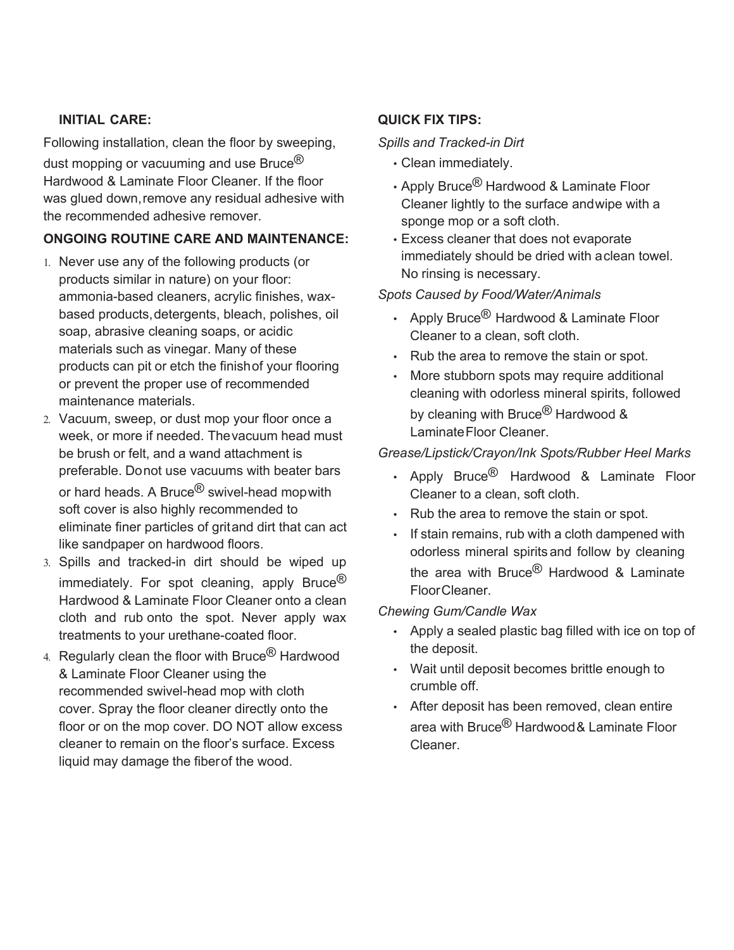## **INITIAL CARE:**

Following installation, clean the floor by sweeping, dust mopping or vacuuming and use Bruce<sup>®</sup> Hardwood & Laminate Floor Cleaner. If the floor was glued down,remove any residual adhesive with the recommended adhesive remover.

## **ONGOING ROUTINE CARE AND MAINTENANCE:**

- 1. Never use any of the following products (or products similar in nature) on your floor: ammonia-based cleaners, acrylic finishes, waxbased products,detergents, bleach, polishes, oil soap, abrasive cleaning soaps, or acidic materials such as vinegar. Many of these products can pit or etch the finishof your flooring or prevent the proper use of recommended maintenance materials.
- 2. Vacuum, sweep, or dust mop your floor once a week, or more if needed. Thevacuum head must be brush or felt, and a wand attachment is preferable. Donot use vacuums with beater bars or hard heads. A Bruce<sup>®</sup> swivel-head mop with soft cover is also highly recommended to eliminate finer particles of gritand dirt that can act like sandpaper on hardwood floors.
- 3. Spills and tracked-in dirt should be wiped up immediately. For spot cleaning, apply Bruce<sup>®</sup> Hardwood & Laminate Floor Cleaner onto a clean cloth and rub onto the spot. Never apply wax treatments to your urethane-coated floor.
- 4. Regularly clean the floor with Bruce $^{\circledR}$  Hardwood & Laminate Floor Cleaner using the recommended swivel-head mop with cloth cover. Spray the floor cleaner directly onto the floor or on the mop cover. DO NOT allow excess cleaner to remain on the floor's surface. Excess liquid may damage the fiberof the wood.

## **QUICK FIX TIPS:**

## *Spills and Tracked-in Dirt*

- Clean immediately.
- Apply Bruce<sup>®</sup> Hardwood & Laminate Floor Cleaner lightly to the surface andwipe with a sponge mop or a soft cloth.
- Excess cleaner that does not evaporate immediately should be dried with aclean towel. No rinsing is necessary.

#### *Spots Caused by Food/Water/Animals*

- Apply Bruce<sup>®</sup> Hardwood & Laminate Floor Cleaner to a clean, soft cloth.
- Rub the area to remove the stain or spot.
- More stubborn spots may require additional cleaning with odorless mineral spirits, followed by cleaning with Bruce<sup>®</sup> Hardwood & LaminateFloor Cleaner.

## *Grease/Lipstick/Crayon/Ink Spots/Rubber Heel Marks*

- Apply Bruce $^{\circledR}$  Hardwood & Laminate Floor Cleaner to a clean, soft cloth.
- Rub the area to remove the stain or spot.
- If stain remains, rub with a cloth dampened with odorless mineral spirits and follow by cleaning the area with Bruce<sup>®</sup> Hardwood & Laminate FloorCleaner.

#### *Chewing Gum/Candle Wax*

- Apply a sealed plastic bag filled with ice on top of the deposit.
- Wait until deposit becomes brittle enough to crumble off.
- After deposit has been removed, clean entire area with Bruce® Hardwood& Laminate Floor Cleaner.